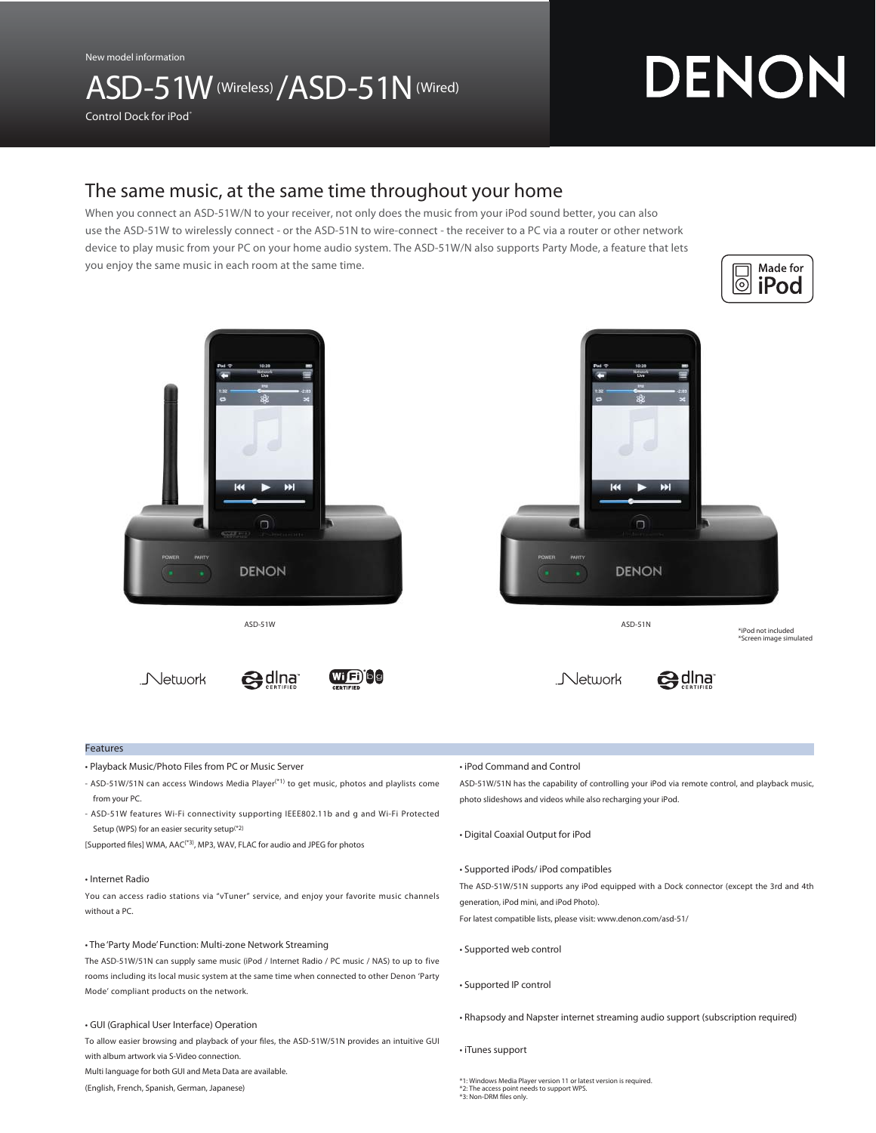New model information

## ASD-51W (Wireless) / ASD-51N (Wired)

# DENON

Control Dock for iPod®

### The same music, at the same time throughout your home

When you connect an ASD-51W/N to your receiver, not only does the music from your iPod sound better, you can also use the ASD-51W to wirelessly connect - or the ASD-51N to wire-connect - the receiver to a PC via a router or other network device to play music from your PC on your home audio system. The ASD-51W/N also supports Party Mode, a feature that lets you enjoy the same music in each room at the same time.





#### Features

- Playback Music/Photo Files from PC or Music Server
- ASD-51W/51N can access Windows Media Player(\*1) to get music, photos and playlists come from your PC.
- ASD-51W features Wi-Fi connectivity supporting IEEE802.11b and g and Wi-Fi Protected Setup (WPS) for an easier security setup(\*2)

[Supported files] WMA, AAC<sup>(\*3)</sup>, MP3, WAV, FLAC for audio and JPEG for photos

#### • Internet Radio

You can access radio stations via "vTuner" service, and enjoy your favorite music channels without a PC.

#### • The 'Party Mode' Function: Multi-zone Network Streaming

The ASD-51W/51N can supply same music (iPod / Internet Radio / PC music / NAS) to up to five rooms including its local music system at the same time when connected to other Denon 'Party Mode' compliant products on the network.

#### • GUI (Graphical User Interface) Operation

To allow easier browsing and playback of your files, the ASD-51W/51N provides an intuitive GUI with album artwork via S-Video connection.

Multi language for both GUI and Meta Data are available.

(English, French, Spanish, German, Japanese)

• iPod Command and Control

ASD-51W/51N has the capability of controlling your iPod via remote control, and playback music, photo slideshows and videos while also recharging your iPod.

- Digital Coaxial Output for iPod
- Supported iPods/ iPod compatibles

The ASD-51W/51N supports any iPod equipped with a Dock connector (except the 3rd and 4th generation, iPod mini, and iPod Photo).

For latest compatible lists, please visit: www.denon.com/asd-51/

- Supported web control
- Supported IP control
- Rhapsody and Napster internet streaming audio support (subscription required)

• iTunes support

\*1: Windows Media Player version 11 or latest version is required.<br>\*2: The access point needs to support WPS.<br>\*3: Non-DRM files only.